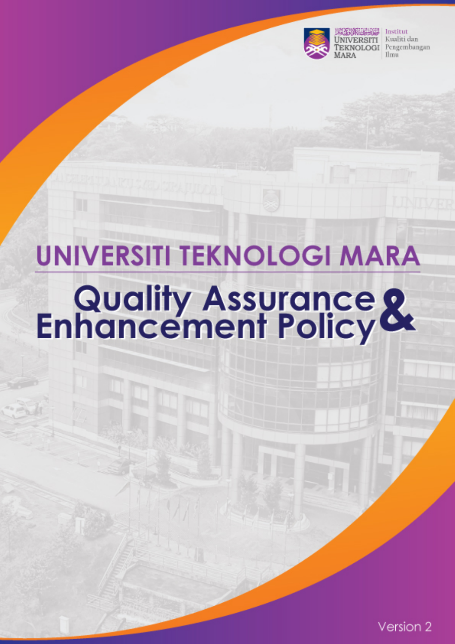

Institut Kualiti dan Pengembangan Ilmu

# **UNIVERSITI TEKNOLOGI MARA Quality Assurance &**<br>Enhancement Policy

Version 2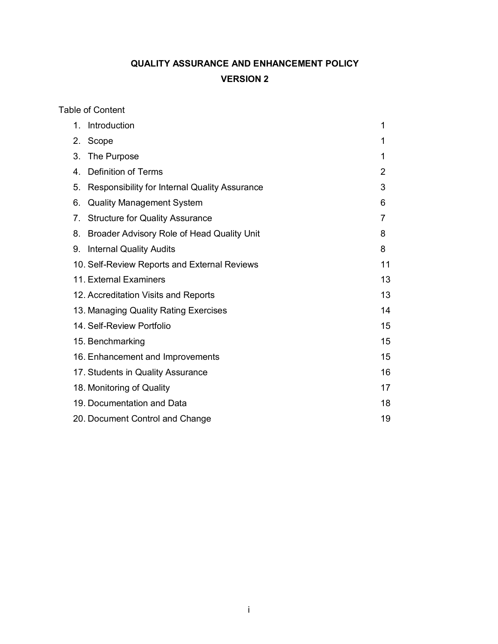# **QUALITY ASSURANCE AND ENHANCEMENT POLICY VERSION 2**

Table of Content

| $1_{-}$                                     | Introduction                                  | 1              |  |  |
|---------------------------------------------|-----------------------------------------------|----------------|--|--|
|                                             | 2. Scope                                      | 1              |  |  |
| 3.                                          | The Purpose                                   | 1              |  |  |
| 4.                                          | <b>Definition of Terms</b>                    | $\overline{2}$ |  |  |
| 5.                                          | Responsibility for Internal Quality Assurance | 3              |  |  |
| 6.                                          | <b>Quality Management System</b>              | 6              |  |  |
| 7.                                          | <b>Structure for Quality Assurance</b>        | 7              |  |  |
| 8.                                          | Broader Advisory Role of Head Quality Unit    | 8              |  |  |
|                                             | 9. Internal Quality Audits                    | 8              |  |  |
|                                             | 10. Self-Review Reports and External Reviews  | 11             |  |  |
|                                             | 11. External Examiners                        | 13             |  |  |
|                                             | 12. Accreditation Visits and Reports          | 13             |  |  |
| 14<br>13. Managing Quality Rating Exercises |                                               |                |  |  |
| 14. Self-Review Portfolio<br>15             |                                               |                |  |  |
| 15<br>15. Benchmarking                      |                                               |                |  |  |
|                                             | 16. Enhancement and Improvements              | 15             |  |  |
|                                             | 17. Students in Quality Assurance             | 16             |  |  |
|                                             | 18. Monitoring of Quality                     | 17             |  |  |
|                                             | 18<br>19. Documentation and Data              |                |  |  |
|                                             | 20. Document Control and Change<br>19         |                |  |  |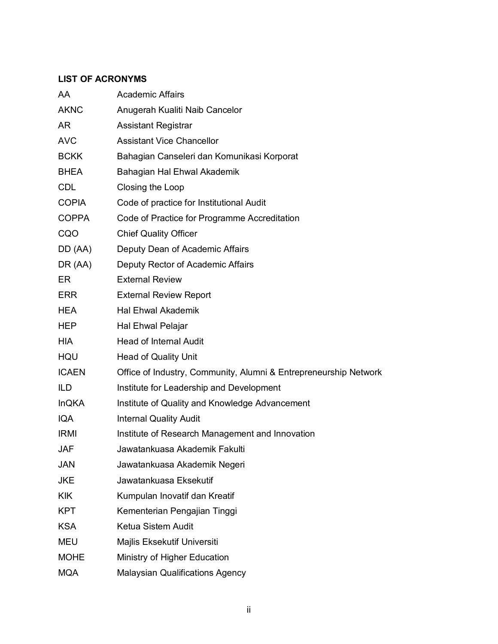#### **LIST OF ACRONYMS**

| AA           | <b>Academic Affairs</b>                                          |  |  |
|--------------|------------------------------------------------------------------|--|--|
| <b>AKNC</b>  | Anugerah Kualiti Naib Cancelor                                   |  |  |
| AR           | <b>Assistant Registrar</b>                                       |  |  |
| <b>AVC</b>   | <b>Assistant Vice Chancellor</b>                                 |  |  |
| <b>BCKK</b>  | Bahagian Canseleri dan Komunikasi Korporat                       |  |  |
| BHEA         | Bahagian Hal Ehwal Akademik                                      |  |  |
| <b>CDL</b>   | Closing the Loop                                                 |  |  |
| <b>COPIA</b> | Code of practice for Institutional Audit                         |  |  |
| <b>COPPA</b> | Code of Practice for Programme Accreditation                     |  |  |
| CQO          | <b>Chief Quality Officer</b>                                     |  |  |
| DD (AA)      | Deputy Dean of Academic Affairs                                  |  |  |
| DR (AA)      | Deputy Rector of Academic Affairs                                |  |  |
| ER           | <b>External Review</b>                                           |  |  |
| ERR          | <b>External Review Report</b>                                    |  |  |
| <b>HEA</b>   | <b>Hal Ehwal Akademik</b>                                        |  |  |
| HEP          | Hal Ehwal Pelajar                                                |  |  |
| <b>HIA</b>   | <b>Head of Internal Audit</b>                                    |  |  |
| HQU          | <b>Head of Quality Unit</b>                                      |  |  |
| <b>ICAEN</b> | Office of Industry, Community, Alumni & Entrepreneurship Network |  |  |
| <b>ILD</b>   | Institute for Leadership and Development                         |  |  |
| <b>InQKA</b> | Institute of Quality and Knowledge Advancement                   |  |  |
| <b>IQA</b>   | <b>Internal Quality Audit</b>                                    |  |  |
| <b>IRMI</b>  | Institute of Research Management and Innovation                  |  |  |
| <b>JAF</b>   | Jawatankuasa Akademik Fakulti                                    |  |  |
| JAN          | Jawatankuasa Akademik Negeri                                     |  |  |
| <b>JKE</b>   | Jawatankuasa Eksekutif                                           |  |  |
| <b>KIK</b>   | Kumpulan Inovatif dan Kreatif                                    |  |  |
| KPT          | Kementerian Pengajian Tinggi                                     |  |  |
| <b>KSA</b>   | Ketua Sistem Audit                                               |  |  |
| <b>MEU</b>   | Majlis Eksekutif Universiti                                      |  |  |
| <b>MOHE</b>  | Ministry of Higher Education                                     |  |  |
| <b>MQA</b>   | <b>Malaysian Qualifications Agency</b>                           |  |  |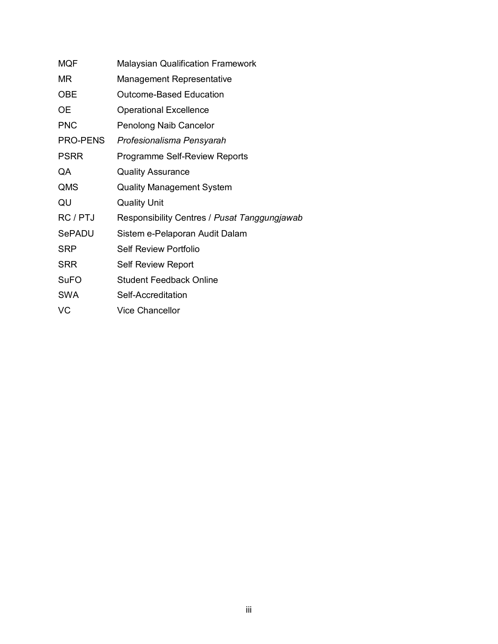| <b>MQF</b>      | <b>Malaysian Qualification Framework</b>     |  |  |
|-----------------|----------------------------------------------|--|--|
| MR              | <b>Management Representative</b>             |  |  |
| <b>OBE</b>      | <b>Outcome-Based Education</b>               |  |  |
| ОE              | <b>Operational Excellence</b>                |  |  |
| <b>PNC</b>      | Penolong Naib Cancelor                       |  |  |
| <b>PRO-PENS</b> | Profesionalisma Pensyarah                    |  |  |
| <b>PSRR</b>     | <b>Programme Self-Review Reports</b>         |  |  |
| QA              | <b>Quality Assurance</b>                     |  |  |
| QMS             | <b>Quality Management System</b>             |  |  |
| QU              | <b>Quality Unit</b>                          |  |  |
| RC / PTJ        | Responsibility Centres / Pusat Tanggungjawab |  |  |
| <b>SePADU</b>   | Sistem e-Pelaporan Audit Dalam               |  |  |
| SRP             | <b>Self Review Portfolio</b>                 |  |  |
| <b>SRR</b>      | <b>Self Review Report</b>                    |  |  |
| <b>SuFO</b>     | <b>Student Feedback Online</b>               |  |  |
| SWA             | Self-Accreditation                           |  |  |
| VC              | <b>Vice Chancellor</b>                       |  |  |
|                 |                                              |  |  |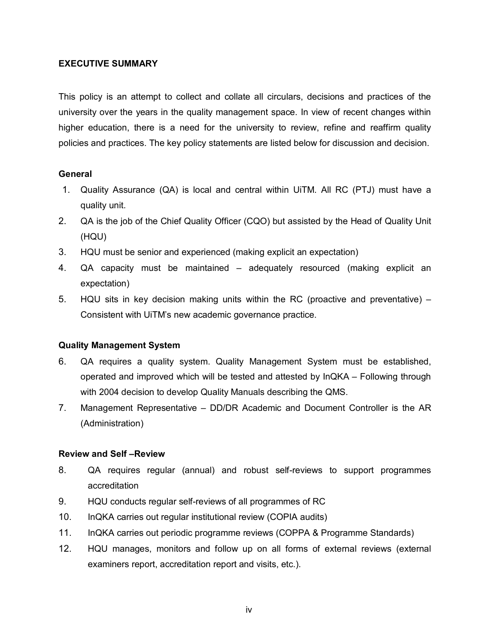#### **EXECUTIVE SUMMARY**

This policy is an attempt to collect and collate all circulars, decisions and practices of the university over the years in the quality management space. In view of recent changes within higher education, there is a need for the university to review, refine and reaffirm quality policies and practices. The key policy statements are listed below for discussion and decision.

#### **General**

- 1. Quality Assurance (QA) is local and central within UiTM. All RC (PTJ) must have a quality unit.
- 2. QA is the job of the Chief Quality Officer (CQO) but assisted by the Head of Quality Unit (HQU)
- 3. HQU must be senior and experienced (making explicit an expectation)
- 4. QA capacity must be maintained adequately resourced (making explicit an expectation)
- 5. HQU sits in key decision making units within the RC (proactive and preventative) Consistent with UiTM's new academic governance practice.

#### **Quality Management System**

- 6. QA requires a quality system. Quality Management System must be established, operated and improved which will be tested and attested by InQKA – Following through with 2004 decision to develop Quality Manuals describing the QMS.
- 7. Management Representative DD/DR Academic and Document Controller is the AR (Administration)

#### **Review and Self –Review**

- 8. QA requires regular (annual) and robust self-reviews to support programmes accreditation
- 9. HQU conducts regular self-reviews of all programmes of RC
- 10. InQKA carries out regular institutional review (COPIA audits)
- 11. InQKA carries out periodic programme reviews (COPPA & Programme Standards)
- 12. HQU manages, monitors and follow up on all forms of external reviews (external examiners report, accreditation report and visits, etc.).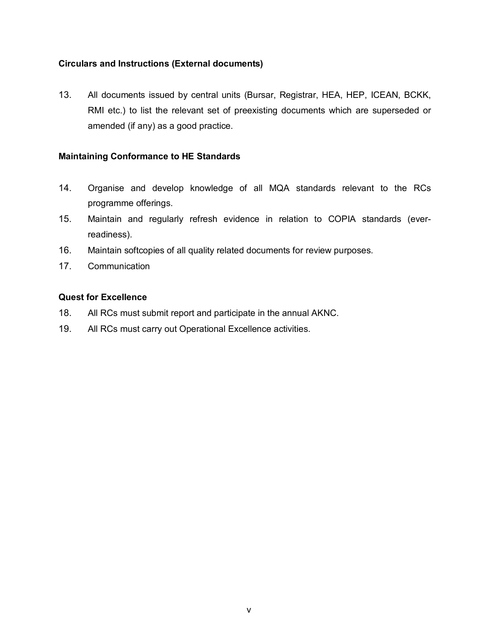#### **Circulars and Instructions (External documents)**

13. All documents issued by central units (Bursar, Registrar, HEA, HEP, ICEAN, BCKK, RMI etc.) to list the relevant set of preexisting documents which are superseded or amended (if any) as a good practice.

#### **Maintaining Conformance to HE Standards**

- 14. Organise and develop knowledge of all MQA standards relevant to the RCs programme offerings.
- 15. Maintain and regularly refresh evidence in relation to COPIA standards (everreadiness).
- 16. Maintain softcopies of all quality related documents for review purposes.
- 17. Communication

#### **Quest for Excellence**

- 18. All RCs must submit report and participate in the annual AKNC.
- 19. All RCs must carry out Operational Excellence activities.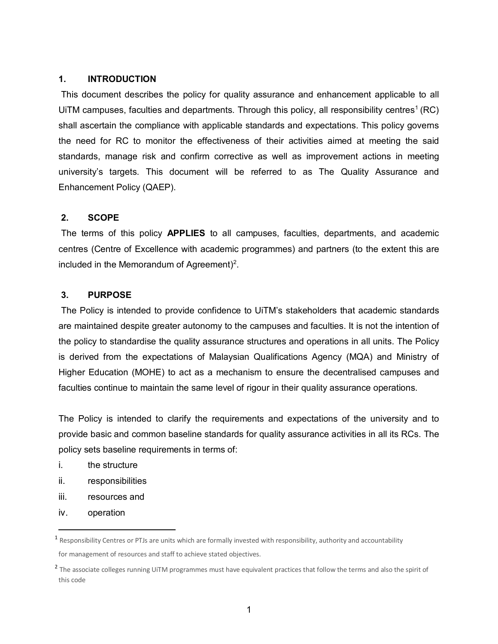#### **1. INTRODUCTION**

This document describes the policy for quality assurance and enhancement applicable to all UITM campuses, faculties and departments. Through this policy, all responsibility centres<sup>1</sup> (RC) shall ascertain the compliance with applicable standards and expectations. This policy governs the need for RC to monitor the effectiveness of their activities aimed at meeting the said standards, manage risk and confirm corrective as well as improvement actions in meeting university's targets. This document will be referred to as The Quality Assurance and Enhancement Policy (QAEP).

#### **2. SCOPE**

The terms of this policy **APPLIES** to all campuses, faculties, departments, and academic centres (Centre of Excellence with academic programmes) and partners (to the extent this are included in the Memorandum of Agreement)<sup>[2](#page-6-1)</sup>.

#### **3. PURPOSE**

The Policy is intended to provide confidence to UiTM's stakeholders that academic standards are maintained despite greater autonomy to the campuses and faculties. It is not the intention of the policy to standardise the quality assurance structures and operations in all units. The Policy is derived from the expectations of Malaysian Qualifications Agency (MQA) and Ministry of Higher Education (MOHE) to act as a mechanism to ensure the decentralised campuses and faculties continue to maintain the same level of rigour in their quality assurance operations.

The Policy is intended to clarify the requirements and expectations of the university and to provide basic and common baseline standards for quality assurance activities in all its RCs. The policy sets baseline requirements in terms of:

- i. the structure
- ii. responsibilities
- iii. resources and
- iv. operation

<span id="page-6-0"></span> $<sup>1</sup>$  Responsibility Centres or PTJs are units which are formally invested with responsibility, authority and accountability</sup> for management of resources and staff to achieve stated objectives.

<span id="page-6-1"></span><sup>&</sup>lt;sup>2</sup> The associate colleges running UiTM programmes must have equivalent practices that follow the terms and also the spirit of this code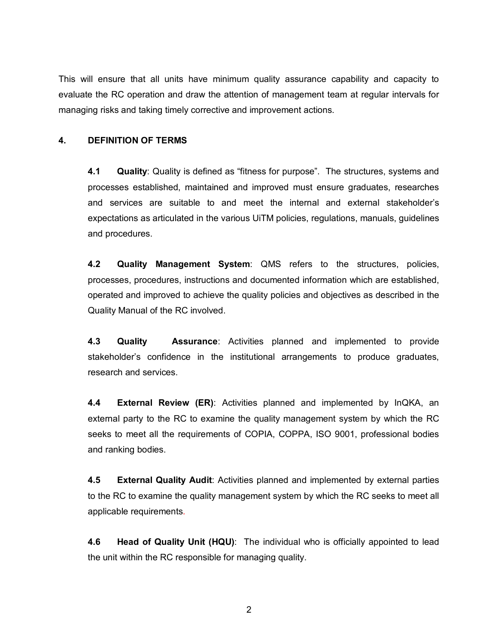This will ensure that all units have minimum quality assurance capability and capacity to evaluate the RC operation and draw the attention of management team at regular intervals for managing risks and taking timely corrective and improvement actions.

#### **4. DEFINITION OF TERMS**

**4.1 Quality**: Quality is defined as "fitness for purpose". The structures, systems and processes established, maintained and improved must ensure graduates, researches and services are suitable to and meet the internal and external stakeholder's expectations as articulated in the various UiTM policies, regulations, manuals, guidelines and procedures.

**4.2 Quality Management System**: QMS refers to the structures, policies, processes, procedures, instructions and documented information which are established, operated and improved to achieve the quality policies and objectives as described in the Quality Manual of the RC involved.

**4.3 Quality Assurance**: Activities planned and implemented to provide stakeholder's confidence in the institutional arrangements to produce graduates, research and services.

**4.4 External Review (ER)**: Activities planned and implemented by InQKA, an external party to the RC to examine the quality management system by which the RC seeks to meet all the requirements of COPIA, COPPA, ISO 9001, professional bodies and ranking bodies.

**4.5 External Quality Audit**: Activities planned and implemented by external parties to the RC to examine the quality management system by which the RC seeks to meet all applicable requirements.

**4.6 Head of Quality Unit (HQU)**: The individual who is officially appointed to lead the unit within the RC responsible for managing quality.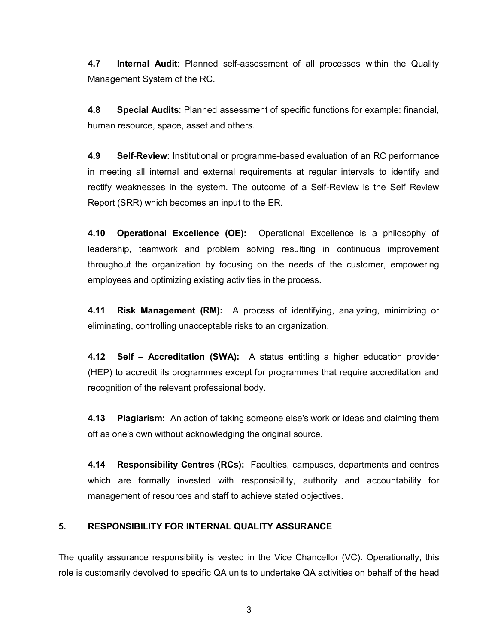**4.7 Internal Audit**: Planned self-assessment of all processes within the Quality Management System of the RC.

**4.8 Special Audits**: Planned assessment of specific functions for example: financial, human resource, space, asset and others.

**4.9 Self-Review**: Institutional or programme-based evaluation of an RC performance in meeting all internal and external requirements at regular intervals to identify and rectify weaknesses in the system. The outcome of a Self-Review is the Self Review Report (SRR) which becomes an input to the ER.

**4.10 Operational Excellence (OE):** Operational Excellence is a philosophy of leadership, teamwork and problem solving resulting in continuous improvement throughout the organization by focusing on the needs of the customer, empowering employees and optimizing existing activities in the process.

**4.11 Risk Management (RM):** A process of identifying, analyzing, minimizing or eliminating, controlling unacceptable risks to an organization.

**4.12 Self – Accreditation (SWA):** A status entitling a higher education provider (HEP) to accredit its programmes except for programmes that require accreditation and recognition of the relevant professional body.

**4.13 Plagiarism:** An action of taking someone else's work or ideas and claiming them off as one's own without acknowledging the original source.

**4.14 Responsibility Centres (RCs):** Faculties, campuses, departments and centres which are formally invested with responsibility, authority and accountability for management of resources and staff to achieve stated objectives.

#### **5. RESPONSIBILITY FOR INTERNAL QUALITY ASSURANCE**

The quality assurance responsibility is vested in the Vice Chancellor (VC). Operationally, this role is customarily devolved to specific QA units to undertake QA activities on behalf of the head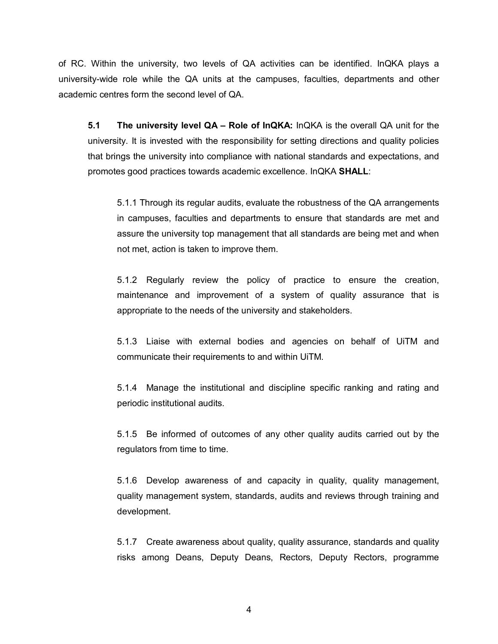of RC. Within the university, two levels of QA activities can be identified. InQKA plays a university-wide role while the QA units at the campuses, faculties, departments and other academic centres form the second level of QA.

**5.1 The university level QA – Role of InQKA:** InQKA is the overall QA unit for the university. It is invested with the responsibility for setting directions and quality policies that brings the university into compliance with national standards and expectations, and promotes good practices towards academic excellence. InQKA **SHALL**:

5.1.1 Through its regular audits, evaluate the robustness of the QA arrangements in campuses, faculties and departments to ensure that standards are met and assure the university top management that all standards are being met and when not met, action is taken to improve them.

5.1.2 Regularly review the policy of practice to ensure the creation, maintenance and improvement of a system of quality assurance that is appropriate to the needs of the university and stakeholders.

5.1.3 Liaise with external bodies and agencies on behalf of UiTM and communicate their requirements to and within UiTM.

5.1.4 Manage the institutional and discipline specific ranking and rating and periodic institutional audits.

5.1.5 Be informed of outcomes of any other quality audits carried out by the regulators from time to time.

5.1.6 Develop awareness of and capacity in quality, quality management, quality management system, standards, audits and reviews through training and development.

5.1.7 Create awareness about quality, quality assurance, standards and quality risks among Deans, Deputy Deans, Rectors, Deputy Rectors, programme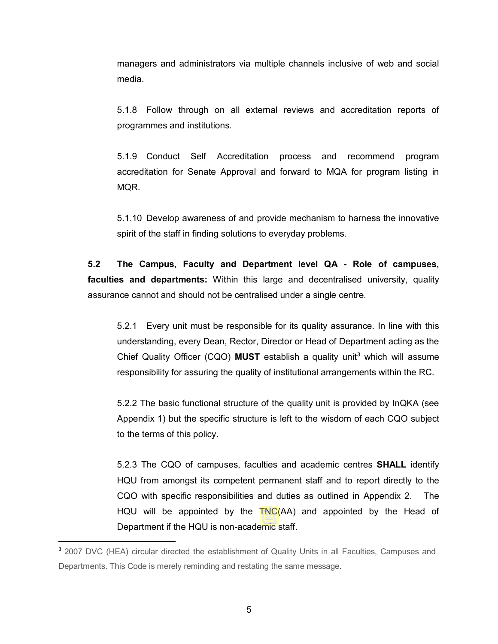managers and administrators via multiple channels inclusive of web and social media.

5.1.8 Follow through on all external reviews and accreditation reports of programmes and institutions.

5.1.9 Conduct Self Accreditation process and recommend program accreditation for Senate Approval and forward to MQA for program listing in MQR.

5.1.10 Develop awareness of and provide mechanism to harness the innovative spirit of the staff in finding solutions to everyday problems.

**5.2 The Campus, Faculty and Department level QA - Role of campuses, faculties and departments:** Within this large and decentralised university, quality assurance cannot and should not be centralised under a single centre.

5.2.1 Every unit must be responsible for its quality assurance. In line with this understanding, every Dean, Rector, Director or Head of Department acting as the Chief Quality Officer (CQO) **MUST** establish a quality unit<sup>[3](#page-10-0)</sup> which will assume responsibility for assuring the quality of institutional arrangements within the RC.

5.2.2 The basic functional structure of the quality unit is provided by InQKA (see Appendix 1) but the specific structure is left to the wisdom of each CQO subject to the terms of this policy.

5.2.3 The CQO of campuses, faculties and academic centres **SHALL** identify HQU from amongst its competent permanent staff and to report directly to the CQO with specific responsibilities and duties as outlined in Appendix 2. The HQU will be appointed by the TNC(AA) and appointed by the Head of Department if the HQU is non-academic staff.

<span id="page-10-0"></span><sup>&</sup>lt;sup>3</sup> 2007 DVC (HEA) circular directed the establishment of Quality Units in all Faculties, Campuses and Departments. This Code is merely reminding and restating the same message.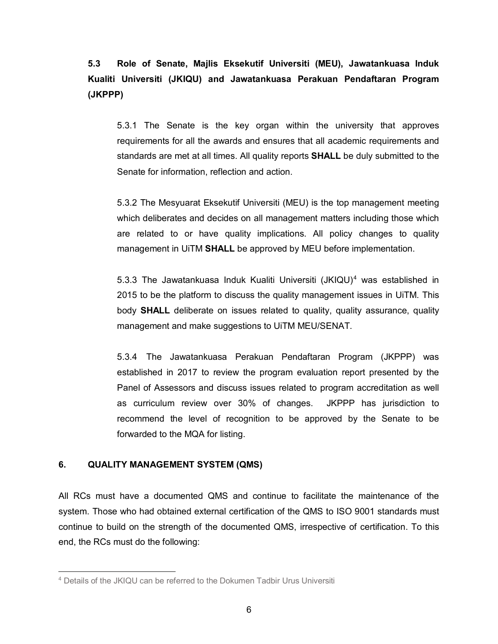**5.3 Role of Senate, Majlis Eksekutif Universiti (MEU), Jawatankuasa Induk Kualiti Universiti (JKIQU) and Jawatankuasa Perakuan Pendaftaran Program (JKPPP)**

5.3.1 The Senate is the key organ within the university that approves requirements for all the awards and ensures that all academic requirements and standards are met at all times. All quality reports **SHALL** be duly submitted to the Senate for information, reflection and action.

5.3.2 The Mesyuarat Eksekutif Universiti (MEU) is the top management meeting which deliberates and decides on all management matters including those which are related to or have quality implications. All policy changes to quality management in UiTM **SHALL** be approved by MEU before implementation.

5.3.3 The Jawatankuasa Induk Kualiti Universiti  $(JKIQU)^4$  $(JKIQU)^4$  was established in 2015 to be the platform to discuss the quality management issues in UiTM. This body **SHALL** deliberate on issues related to quality, quality assurance, quality management and make suggestions to UiTM MEU/SENAT.

5.3.4 The Jawatankuasa Perakuan Pendaftaran Program (JKPPP) was established in 2017 to review the program evaluation report presented by the Panel of Assessors and discuss issues related to program accreditation as well as curriculum review over 30% of changes. JKPPP has jurisdiction to recommend the level of recognition to be approved by the Senate to be forwarded to the MQA for listing.

#### **6. QUALITY MANAGEMENT SYSTEM (QMS)**

 $\overline{\phantom{a}}$ 

All RCs must have a documented QMS and continue to facilitate the maintenance of the system. Those who had obtained external certification of the QMS to ISO 9001 standards must continue to build on the strength of the documented QMS, irrespective of certification. To this end, the RCs must do the following:

<span id="page-11-0"></span><sup>4</sup> Details of the JKIQU can be referred to the Dokumen Tadbir Urus Universiti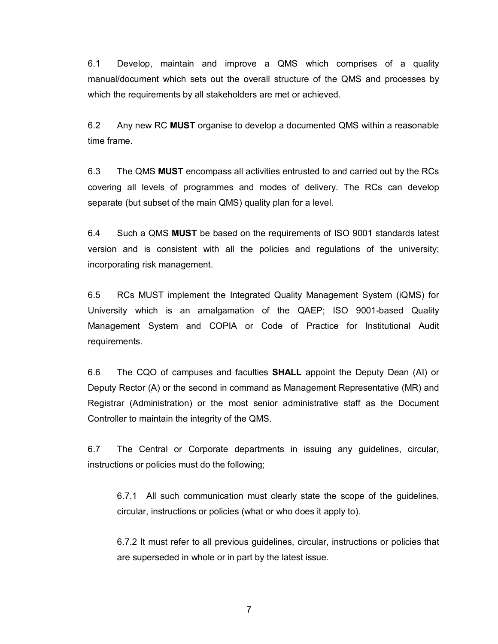6.1 Develop, maintain and improve a QMS which comprises of a quality manual/document which sets out the overall structure of the QMS and processes by which the requirements by all stakeholders are met or achieved.

6.2 Any new RC **MUST** organise to develop a documented QMS within a reasonable time frame.

6.3 The QMS **MUST** encompass all activities entrusted to and carried out by the RCs covering all levels of programmes and modes of delivery. The RCs can develop separate (but subset of the main QMS) quality plan for a level.

6.4 Such a QMS **MUST** be based on the requirements of ISO 9001 standards latest version and is consistent with all the policies and regulations of the university; incorporating risk management.

6.5 RCs MUST implement the Integrated Quality Management System (iQMS) for University which is an amalgamation of the QAEP; ISO 9001-based Quality Management System and COPIA or Code of Practice for Institutional Audit requirements.

6.6 The CQO of campuses and faculties **SHALL** appoint the Deputy Dean (AI) or Deputy Rector (A) or the second in command as Management Representative (MR) and Registrar (Administration) or the most senior administrative staff as the Document Controller to maintain the integrity of the QMS.

6.7 The Central or Corporate departments in issuing any guidelines, circular, instructions or policies must do the following;

6.7.1 All such communication must clearly state the scope of the guidelines, circular, instructions or policies (what or who does it apply to).

6.7.2 It must refer to all previous guidelines, circular, instructions or policies that are superseded in whole or in part by the latest issue.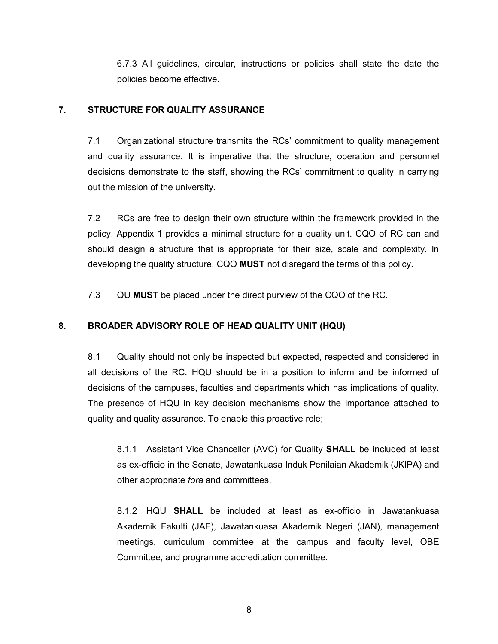6.7.3 All guidelines, circular, instructions or policies shall state the date the policies become effective.

## **7. STRUCTURE FOR QUALITY ASSURANCE**

7.1 Organizational structure transmits the RCs' commitment to quality management and quality assurance. It is imperative that the structure, operation and personnel decisions demonstrate to the staff, showing the RCs' commitment to quality in carrying out the mission of the university.

7.2 RCs are free to design their own structure within the framework provided in the policy. Appendix 1 provides a minimal structure for a quality unit. CQO of RC can and should design a structure that is appropriate for their size, scale and complexity. In developing the quality structure, CQO **MUST** not disregard the terms of this policy.

7.3 QU **MUST** be placed under the direct purview of the CQO of the RC.

# **8. BROADER ADVISORY ROLE OF HEAD QUALITY UNIT (HQU)**

8.1 Quality should not only be inspected but expected, respected and considered in all decisions of the RC. HQU should be in a position to inform and be informed of decisions of the campuses, faculties and departments which has implications of quality. The presence of HQU in key decision mechanisms show the importance attached to quality and quality assurance. To enable this proactive role;

8.1.1 Assistant Vice Chancellor (AVC) for Quality **SHALL** be included at least as ex-officio in the Senate, Jawatankuasa Induk Penilaian Akademik (JKIPA) and other appropriate *fora* and committees.

8.1.2 HQU **SHALL** be included at least as ex-officio in Jawatankuasa Akademik Fakulti (JAF), Jawatankuasa Akademik Negeri (JAN), management meetings, curriculum committee at the campus and faculty level, OBE Committee, and programme accreditation committee.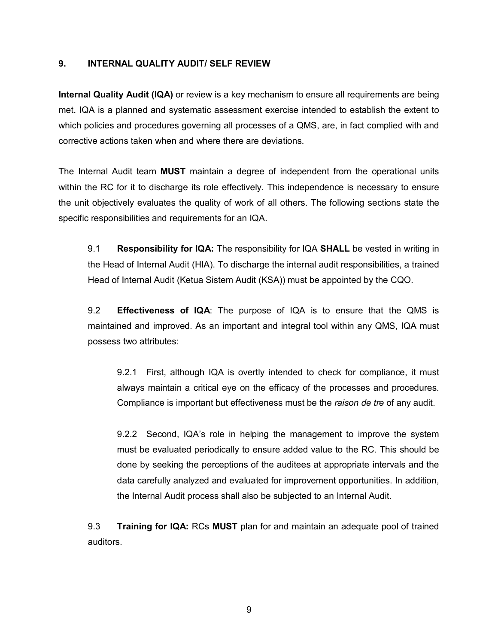#### **9. INTERNAL QUALITY AUDIT/ SELF REVIEW**

**Internal Quality Audit (IQA)** or review is a key mechanism to ensure all requirements are being met. IQA is a planned and systematic assessment exercise intended to establish the extent to which policies and procedures governing all processes of a QMS, are, in fact complied with and corrective actions taken when and where there are deviations.

The Internal Audit team **MUST** maintain a degree of independent from the operational units within the RC for it to discharge its role effectively. This independence is necessary to ensure the unit objectively evaluates the quality of work of all others. The following sections state the specific responsibilities and requirements for an IQA.

9.1 **Responsibility for IQA:** The responsibility for IQA **SHALL** be vested in writing in the Head of Internal Audit (HIA). To discharge the internal audit responsibilities, a trained Head of Internal Audit (Ketua Sistem Audit (KSA)) must be appointed by the CQO.

9.2 **Effectiveness of IQA**: The purpose of IQA is to ensure that the QMS is maintained and improved. As an important and integral tool within any QMS, IQA must possess two attributes:

9.2.1 First, although IQA is overtly intended to check for compliance, it must always maintain a critical eye on the efficacy of the processes and procedures. Compliance is important but effectiveness must be the *raison de tre* of any audit.

9.2.2 Second, IQA's role in helping the management to improve the system must be evaluated periodically to ensure added value to the RC. This should be done by seeking the perceptions of the auditees at appropriate intervals and the data carefully analyzed and evaluated for improvement opportunities. In addition, the Internal Audit process shall also be subjected to an Internal Audit.

9.3 **Training for IQA:** RCs **MUST** plan for and maintain an adequate pool of trained auditors.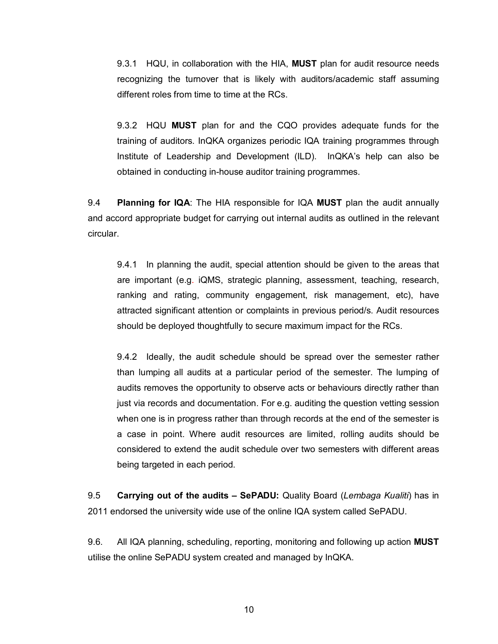9.3.1 HQU, in collaboration with the HIA, **MUST** plan for audit resource needs recognizing the turnover that is likely with auditors/academic staff assuming different roles from time to time at the RCs.

9.3.2 HQU **MUST** plan for and the CQO provides adequate funds for the training of auditors. InQKA organizes periodic IQA training programmes through Institute of Leadership and Development (ILD). InQKA's help can also be obtained in conducting in-house auditor training programmes.

9.4 **Planning for IQA**: The HIA responsible for IQA **MUST** plan the audit annually and accord appropriate budget for carrying out internal audits as outlined in the relevant circular.

9.4.1 In planning the audit, special attention should be given to the areas that are important (e.g. iQMS, strategic planning, assessment, teaching, research, ranking and rating, community engagement, risk management, etc), have attracted significant attention or complaints in previous period/s. Audit resources should be deployed thoughtfully to secure maximum impact for the RCs.

9.4.2 Ideally, the audit schedule should be spread over the semester rather than lumping all audits at a particular period of the semester. The lumping of audits removes the opportunity to observe acts or behaviours directly rather than just via records and documentation. For e.g. auditing the question vetting session when one is in progress rather than through records at the end of the semester is a case in point. Where audit resources are limited, rolling audits should be considered to extend the audit schedule over two semesters with different areas being targeted in each period.

9.5 **Carrying out of the audits – SePADU:** Quality Board (*Lembaga Kualiti*) has in 2011 endorsed the university wide use of the online IQA system called SePADU.

9.6. All IQA planning, scheduling, reporting, monitoring and following up action **MUST**  utilise the online SePADU system created and managed by InQKA.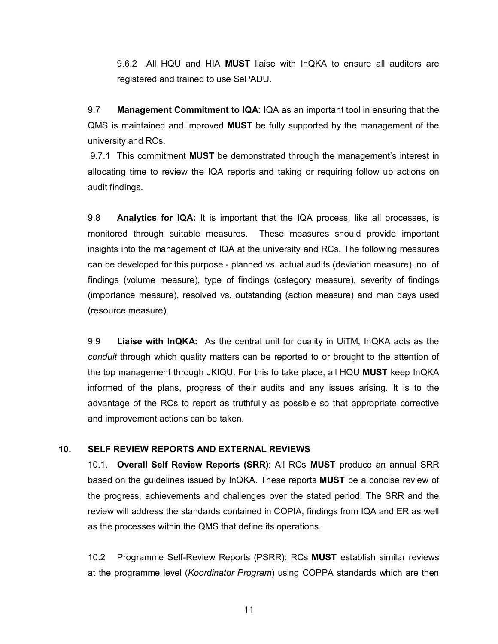9.6.2 All HQU and HIA **MUST** liaise with InQKA to ensure all auditors are registered and trained to use SePADU.

9.7 **Management Commitment to IQA:** IQA as an important tool in ensuring that the QMS is maintained and improved **MUST** be fully supported by the management of the university and RCs.

9.7.1 This commitment **MUST** be demonstrated through the management's interest in allocating time to review the IQA reports and taking or requiring follow up actions on audit findings.

9.8 **Analytics for IQA:** It is important that the IQA process, like all processes, is monitored through suitable measures. These measures should provide important insights into the management of IQA at the university and RCs. The following measures can be developed for this purpose - planned vs. actual audits (deviation measure), no. of findings (volume measure), type of findings (category measure), severity of findings (importance measure), resolved vs. outstanding (action measure) and man days used (resource measure).

9.9 **Liaise with InQKA:** As the central unit for quality in UiTM, InQKA acts as the *conduit* through which quality matters can be reported to or brought to the attention of the top management through JKIQU. For this to take place, all HQU **MUST** keep InQKA informed of the plans, progress of their audits and any issues arising. It is to the advantage of the RCs to report as truthfully as possible so that appropriate corrective and improvement actions can be taken.

#### **10. SELF REVIEW REPORTS AND EXTERNAL REVIEWS**

10.1. **Overall Self Review Reports (SRR)**: All RCs **MUST** produce an annual SRR based on the guidelines issued by InQKA. These reports **MUST** be a concise review of the progress, achievements and challenges over the stated period. The SRR and the review will address the standards contained in COPIA, findings from IQA and ER as well as the processes within the QMS that define its operations.

10.2 Programme Self-Review Reports (PSRR): RCs **MUST** establish similar reviews at the programme level (*Koordinator Program*) using COPPA standards which are then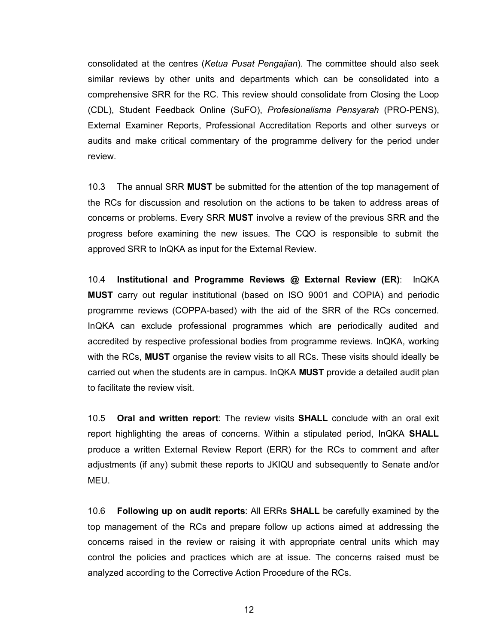consolidated at the centres (*Ketua Pusat Pengajian*). The committee should also seek similar reviews by other units and departments which can be consolidated into a comprehensive SRR for the RC. This review should consolidate from Closing the Loop (CDL), Student Feedback Online (SuFO), *Profesionalisma Pensyarah* (PRO-PENS), External Examiner Reports, Professional Accreditation Reports and other surveys or audits and make critical commentary of the programme delivery for the period under review.

10.3 The annual SRR **MUST** be submitted for the attention of the top management of the RCs for discussion and resolution on the actions to be taken to address areas of concerns or problems. Every SRR **MUST** involve a review of the previous SRR and the progress before examining the new issues. The CQO is responsible to submit the approved SRR to InQKA as input for the External Review.

10.4 **Institutional and Programme Reviews @ External Review (ER)**: InQKA **MUST** carry out regular institutional (based on ISO 9001 and COPIA) and periodic programme reviews (COPPA-based) with the aid of the SRR of the RCs concerned. InQKA can exclude professional programmes which are periodically audited and accredited by respective professional bodies from programme reviews. InQKA, working with the RCs, **MUST** organise the review visits to all RCs. These visits should ideally be carried out when the students are in campus. InQKA **MUST** provide a detailed audit plan to facilitate the review visit.

10.5 **Oral and written report**: The review visits **SHALL** conclude with an oral exit report highlighting the areas of concerns. Within a stipulated period, InQKA **SHALL**  produce a written External Review Report (ERR) for the RCs to comment and after adjustments (if any) submit these reports to JKIQU and subsequently to Senate and/or MEU.

10.6 **Following up on audit reports**: All ERRs **SHALL** be carefully examined by the top management of the RCs and prepare follow up actions aimed at addressing the concerns raised in the review or raising it with appropriate central units which may control the policies and practices which are at issue. The concerns raised must be analyzed according to the Corrective Action Procedure of the RCs.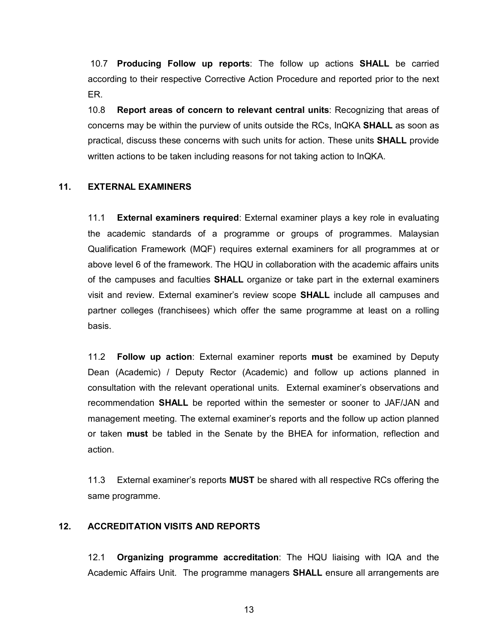10.7 **Producing Follow up reports**: The follow up actions **SHALL** be carried according to their respective Corrective Action Procedure and reported prior to the next ER.

10.8 **Report areas of concern to relevant central units**: Recognizing that areas of concerns may be within the purview of units outside the RCs, InQKA **SHALL** as soon as practical, discuss these concerns with such units for action. These units **SHALL** provide written actions to be taken including reasons for not taking action to InQKA.

#### **11. EXTERNAL EXAMINERS**

11.1 **External examiners required**: External examiner plays a key role in evaluating the academic standards of a programme or groups of programmes. Malaysian Qualification Framework (MQF) requires external examiners for all programmes at or above level 6 of the framework. The HQU in collaboration with the academic affairs units of the campuses and faculties **SHALL** organize or take part in the external examiners visit and review. External examiner's review scope **SHALL** include all campuses and partner colleges (franchisees) which offer the same programme at least on a rolling basis.

11.2 **Follow up action**: External examiner reports **must** be examined by Deputy Dean (Academic) / Deputy Rector (Academic) and follow up actions planned in consultation with the relevant operational units. External examiner's observations and recommendation **SHALL** be reported within the semester or sooner to JAF/JAN and management meeting. The external examiner's reports and the follow up action planned or taken **must** be tabled in the Senate by the BHEA for information, reflection and action.

11.3 External examiner's reports **MUST** be shared with all respective RCs offering the same programme.

#### **12. ACCREDITATION VISITS AND REPORTS**

12.1 **Organizing programme accreditation**: The HQU liaising with IQA and the Academic Affairs Unit. The programme managers **SHALL** ensure all arrangements are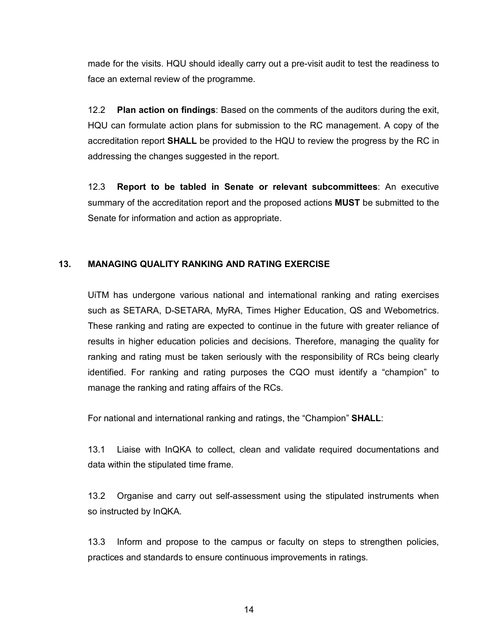made for the visits. HQU should ideally carry out a pre-visit audit to test the readiness to face an external review of the programme.

12.2 **Plan action on findings**: Based on the comments of the auditors during the exit, HQU can formulate action plans for submission to the RC management. A copy of the accreditation report **SHALL** be provided to the HQU to review the progress by the RC in addressing the changes suggested in the report.

12.3 **Report to be tabled in Senate or relevant subcommittees**: An executive summary of the accreditation report and the proposed actions **MUST** be submitted to the Senate for information and action as appropriate.

### **13. MANAGING QUALITY RANKING AND RATING EXERCISE**

UiTM has undergone various national and international ranking and rating exercises such as SETARA, D-SETARA, MyRA, Times Higher Education, QS and Webometrics. These ranking and rating are expected to continue in the future with greater reliance of results in higher education policies and decisions. Therefore, managing the quality for ranking and rating must be taken seriously with the responsibility of RCs being clearly identified. For ranking and rating purposes the CQO must identify a "champion" to manage the ranking and rating affairs of the RCs.

For national and international ranking and ratings, the "Champion" **SHALL**:

13.1 Liaise with InQKA to collect, clean and validate required documentations and data within the stipulated time frame.

13.2 Organise and carry out self-assessment using the stipulated instruments when so instructed by InQKA.

13.3 Inform and propose to the campus or faculty on steps to strengthen policies, practices and standards to ensure continuous improvements in ratings.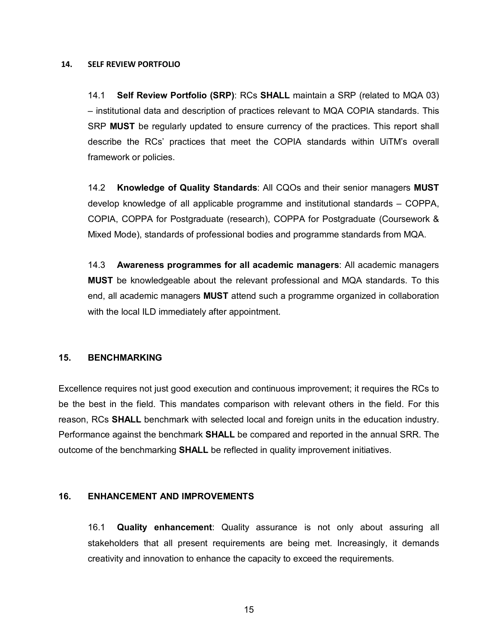#### **14. SELF REVIEW PORTFOLIO**

14.1 **Self Review Portfolio (SRP)**: RCs **SHALL** maintain a SRP (related to MQA 03) – institutional data and description of practices relevant to MQA COPIA standards. This SRP **MUST** be regularly updated to ensure currency of the practices. This report shall describe the RCs' practices that meet the COPIA standards within UiTM's overall framework or policies.

14.2 **Knowledge of Quality Standards**: All CQOs and their senior managers **MUST**  develop knowledge of all applicable programme and institutional standards – COPPA, COPIA, COPPA for Postgraduate (research), COPPA for Postgraduate (Coursework & Mixed Mode), standards of professional bodies and programme standards from MQA.

14.3 **Awareness programmes for all academic managers**: All academic managers **MUST** be knowledgeable about the relevant professional and MQA standards. To this end, all academic managers **MUST** attend such a programme organized in collaboration with the local ILD immediately after appointment.

#### **15. BENCHMARKING**

Excellence requires not just good execution and continuous improvement; it requires the RCs to be the best in the field. This mandates comparison with relevant others in the field. For this reason, RCs **SHALL** benchmark with selected local and foreign units in the education industry. Performance against the benchmark **SHALL** be compared and reported in the annual SRR. The outcome of the benchmarking **SHALL** be reflected in quality improvement initiatives.

#### **16. ENHANCEMENT AND IMPROVEMENTS**

16.1 **Quality enhancement**: Quality assurance is not only about assuring all stakeholders that all present requirements are being met. Increasingly, it demands creativity and innovation to enhance the capacity to exceed the requirements.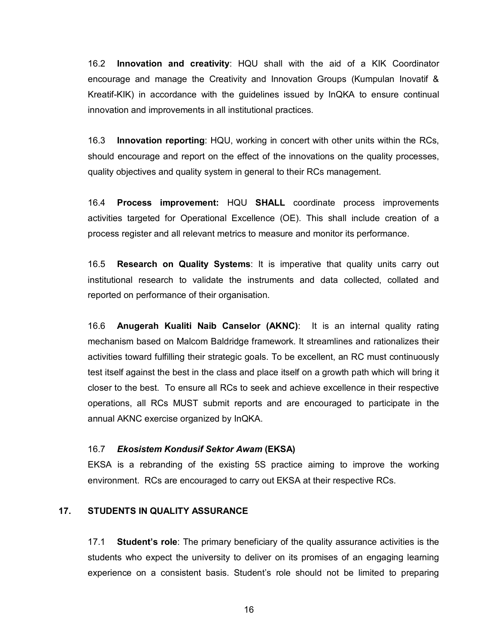16.2 **Innovation and creativity**: HQU shall with the aid of a KIK Coordinator encourage and manage the Creativity and Innovation Groups (Kumpulan Inovatif & Kreatif-KIK) in accordance with the guidelines issued by InQKA to ensure continual innovation and improvements in all institutional practices.

16.3 **Innovation reporting**: HQU, working in concert with other units within the RCs, should encourage and report on the effect of the innovations on the quality processes, quality objectives and quality system in general to their RCs management.

16.4 **Process improvement:** HQU **SHALL** coordinate process improvements activities targeted for Operational Excellence (OE). This shall include creation of a process register and all relevant metrics to measure and monitor its performance.

16.5 **Research on Quality Systems**: It is imperative that quality units carry out institutional research to validate the instruments and data collected, collated and reported on performance of their organisation.

16.6 **Anugerah Kualiti Naib Canselor (AKNC)**: It is an internal quality rating mechanism based on Malcom Baldridge framework. It streamlines and rationalizes their activities toward fulfilling their strategic goals. To be excellent, an RC must continuously test itself against the best in the class and place itself on a growth path which will bring it closer to the best. To ensure all RCs to seek and achieve excellence in their respective operations, all RCs MUST submit reports and are encouraged to participate in the annual AKNC exercise organized by InQKA.

#### 16.7 *Ekosistem Kondusif Sektor Awam* **(EKSA)**

EKSA is a rebranding of the existing 5S practice aiming to improve the working environment. RCs are encouraged to carry out EKSA at their respective RCs.

#### **17. STUDENTS IN QUALITY ASSURANCE**

17.1 **Student's role**: The primary beneficiary of the quality assurance activities is the students who expect the university to deliver on its promises of an engaging learning experience on a consistent basis. Student's role should not be limited to preparing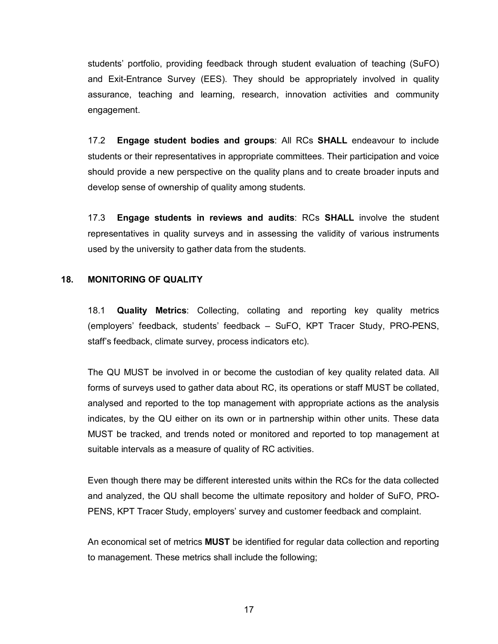students' portfolio, providing feedback through student evaluation of teaching (SuFO) and Exit-Entrance Survey (EES). They should be appropriately involved in quality assurance, teaching and learning, research, innovation activities and community engagement.

17.2 **Engage student bodies and groups**: All RCs **SHALL** endeavour to include students or their representatives in appropriate committees. Their participation and voice should provide a new perspective on the quality plans and to create broader inputs and develop sense of ownership of quality among students.

17.3 **Engage students in reviews and audits**: RCs **SHALL** involve the student representatives in quality surveys and in assessing the validity of various instruments used by the university to gather data from the students.

#### **18. MONITORING OF QUALITY**

18.1 **Quality Metrics**: Collecting, collating and reporting key quality metrics (employers' feedback, students' feedback – SuFO, KPT Tracer Study, PRO-PENS, staff's feedback, climate survey, process indicators etc).

The QU MUST be involved in or become the custodian of key quality related data. All forms of surveys used to gather data about RC, its operations or staff MUST be collated, analysed and reported to the top management with appropriate actions as the analysis indicates, by the QU either on its own or in partnership within other units. These data MUST be tracked, and trends noted or monitored and reported to top management at suitable intervals as a measure of quality of RC activities.

Even though there may be different interested units within the RCs for the data collected and analyzed, the QU shall become the ultimate repository and holder of SuFO, PRO-PENS, KPT Tracer Study, employers' survey and customer feedback and complaint.

An economical set of metrics **MUST** be identified for regular data collection and reporting to management. These metrics shall include the following;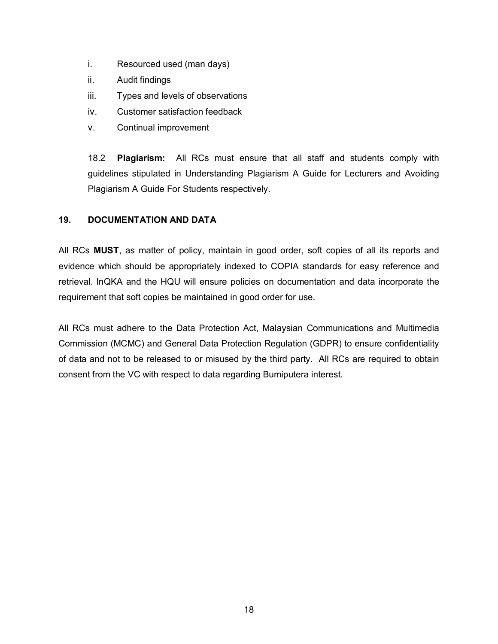- i. Resourced used (man days)
- ii. Audit findings
- iii. Types and levels of observations
- iv. Customer satisfaction feedback
- v. Continual improvement

18.2 **Plagiarism:** All RCs must ensure that all staff and students comply with guidelines stipulated in Understanding Plagiarism A Guide for Lecturers and Avoiding Plagiarism A Guide For Students respectively.

#### **19. DOCUMENTATION AND DATA**

All RCs **MUST**, as matter of policy, maintain in good order, soft copies of all its reports and evidence which should be appropriately indexed to COPIA standards for easy reference and retrieval. InQKA and the HQU will ensure policies on documentation and data incorporate the requirement that soft copies be maintained in good order for use.

All RCs must adhere to the Data Protection Act, Malaysian Communications and Multimedia Commission (MCMC) and General Data Protection Regulation (GDPR) to ensure confidentiality of data and not to be released to or misused by the third party. All RCs are required to obtain consent from the VC with respect to data regarding Bumiputera interest.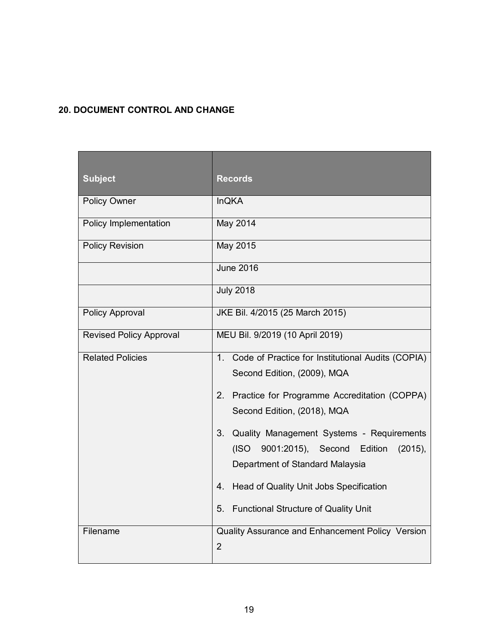# **20. DOCUMENT CONTROL AND CHANGE**

| <b>Subject</b>                 | <b>Records</b>                                                                                                                                                                                                                                                                                                                                                                                                                                |
|--------------------------------|-----------------------------------------------------------------------------------------------------------------------------------------------------------------------------------------------------------------------------------------------------------------------------------------------------------------------------------------------------------------------------------------------------------------------------------------------|
| <b>Policy Owner</b>            | <b>InQKA</b>                                                                                                                                                                                                                                                                                                                                                                                                                                  |
| Policy Implementation          | May 2014                                                                                                                                                                                                                                                                                                                                                                                                                                      |
| <b>Policy Revision</b>         | May 2015                                                                                                                                                                                                                                                                                                                                                                                                                                      |
|                                | <b>June 2016</b>                                                                                                                                                                                                                                                                                                                                                                                                                              |
|                                | <b>July 2018</b>                                                                                                                                                                                                                                                                                                                                                                                                                              |
| Policy Approval                | JKE Bil. 4/2015 (25 March 2015)                                                                                                                                                                                                                                                                                                                                                                                                               |
| <b>Revised Policy Approval</b> | MEU Bil. 9/2019 (10 April 2019)                                                                                                                                                                                                                                                                                                                                                                                                               |
| <b>Related Policies</b>        | 1 <sub>1</sub><br>Code of Practice for Institutional Audits (COPIA)<br>Second Edition, (2009), MQA<br>2. Practice for Programme Accreditation (COPPA)<br>Second Edition, (2018), MQA<br>3 <sub>1</sub><br>Quality Management Systems - Requirements<br>Edition<br>(ISO)<br>9001:2015), Second<br>$(2015)$ ,<br>Department of Standard Malaysia<br>4.<br>Head of Quality Unit Jobs Specification<br>5.<br>Functional Structure of Quality Unit |
| Filename                       | Quality Assurance and Enhancement Policy Version<br>$\overline{2}$                                                                                                                                                                                                                                                                                                                                                                            |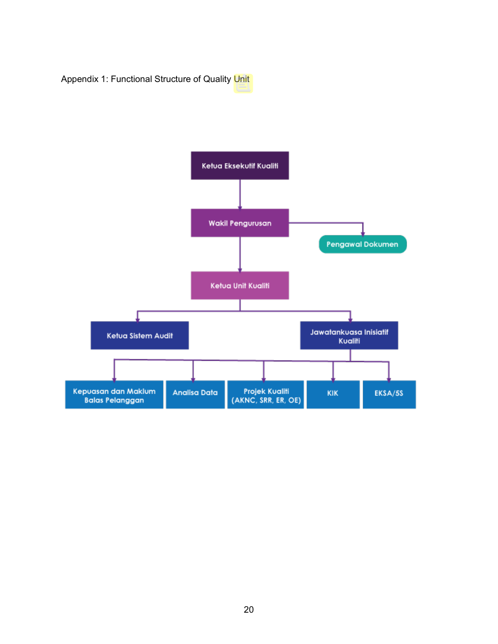Appendix 1: Functional Structure of Quality Unit

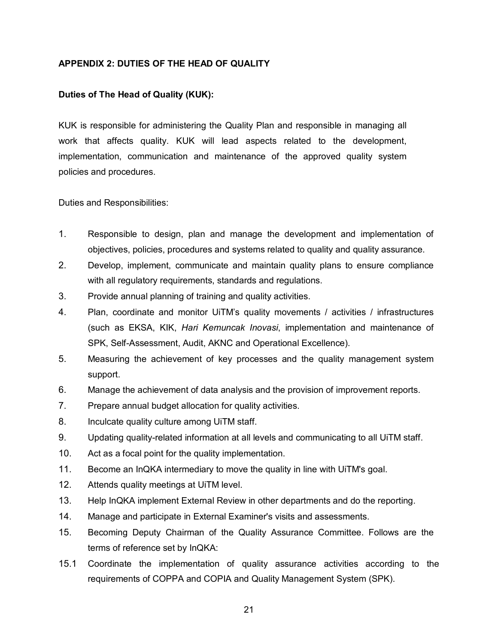#### **APPENDIX 2: DUTIES OF THE HEAD OF QUALITY**

#### **Duties of The Head of Quality (KUK):**

KUK is responsible for administering the Quality Plan and responsible in managing all work that affects quality. KUK will lead aspects related to the development, implementation, communication and maintenance of the approved quality system policies and procedures.

Duties and Responsibilities:

- 1. Responsible to design, plan and manage the development and implementation of objectives, policies, procedures and systems related to quality and quality assurance.
- 2. Develop, implement, communicate and maintain quality plans to ensure compliance with all regulatory requirements, standards and regulations.
- 3. Provide annual planning of training and quality activities.
- 4. Plan, coordinate and monitor UiTM's quality movements / activities / infrastructures (such as EKSA, KIK, *Hari Kemuncak Inovasi*, implementation and maintenance of SPK, Self-Assessment, Audit, AKNC and Operational Excellence).
- 5. Measuring the achievement of key processes and the quality management system support.
- 6. Manage the achievement of data analysis and the provision of improvement reports.
- 7. Prepare annual budget allocation for quality activities.
- 8. Inculcate quality culture among UiTM staff.
- 9. Updating quality-related information at all levels and communicating to all UiTM staff.
- 10. Act as a focal point for the quality implementation.
- 11. Become an InQKA intermediary to move the quality in line with UiTM's goal.
- 12. Attends quality meetings at UiTM level.
- 13. Help InQKA implement External Review in other departments and do the reporting.
- 14. Manage and participate in External Examiner's visits and assessments.
- 15. Becoming Deputy Chairman of the Quality Assurance Committee. Follows are the terms of reference set by InQKA:
- 15.1 Coordinate the implementation of quality assurance activities according to the requirements of COPPA and COPIA and Quality Management System (SPK).